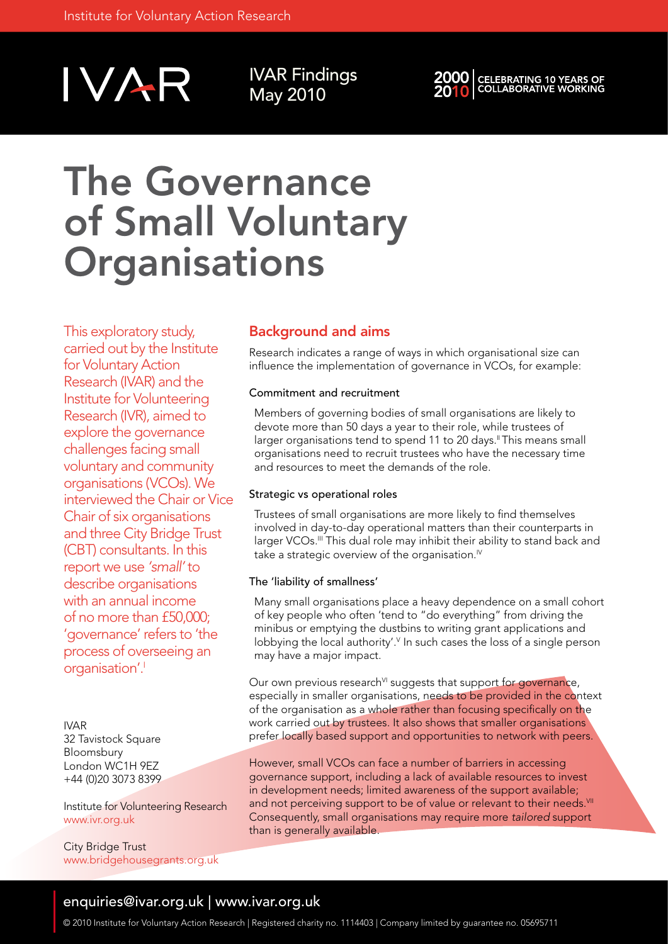

IVAR Findings May 2010



## The Governance of Small Voluntary **Organisations**

This exploratory study, carried out by the Institute for Voluntary Action Research (IVAR) and the Institute for Volunteering Research (IVR), aimed to explore the governance challenges facing small voluntary and community organisations (VCOs). We interviewed the Chair or Vice Chair of six organisations and three City Bridge Trust (CBT) consultants. In this report we use *'small'* to describe organisations with an annual income of no more than £50,000; 'governance' refers to 'the process of overseeing an organisation'.<sup>1</sup>

IVAR 32 Tavistock Square Bloomsbury London WC1H 9EZ +44 (0)20 3073 8399

Institute for Volunteering Research www.ivr.org.uk

City Bridge Trust www.bridgehousegrants.org.uk

## Background and aims

Research indicates a range of ways in which organisational size can influence the implementation of governance in VCOs, for example:

#### Commitment and recruitment

Members of governing bodies of small organisations are likely to devote more than 50 days a year to their role, while trustees of larger organisations tend to spend 11 to 20 days.<sup>"</sup> This means small organisations need to recruit trustees who have the necessary time and resources to meet the demands of the role.

#### Strategic vs operational roles

Trustees of small organisations are more likely to find themselves involved in day-to-day operational matters than their counterparts in larger VCOs.<sup>III</sup> This dual role may inhibit their ability to stand back and take a strategic overview of the organisation.<sup> $N$ </sup>

#### The 'liability of smallness'

Many small organisations place a heavy dependence on a small cohort of key people who often 'tend to "do everything" from driving the minibus or emptying the dustbins to writing grant applications and lobbying the local authority'.<sup>V</sup> In such cases the loss of a single person may have a major impact.

Our own previous research<sup>VI</sup> suggests that support for governance, especially in smaller organisations, needs to be provided in the context of the organisation as a whole rather than focusing specifically on the work carried out by trustees. It also shows that smaller organisations prefer locally based support and opportunities to network with peers.

However, small VCOs can face a number of barriers in accessing governance support, including a lack of available resources to invest in development needs; limited awareness of the support available; and not perceiving support to be of value or relevant to their needs.<sup>VII</sup> Consequently, small organisations may require more *tailored* support than is generally available.

### enquiries@ivar.org.uk | www.ivar.org.uk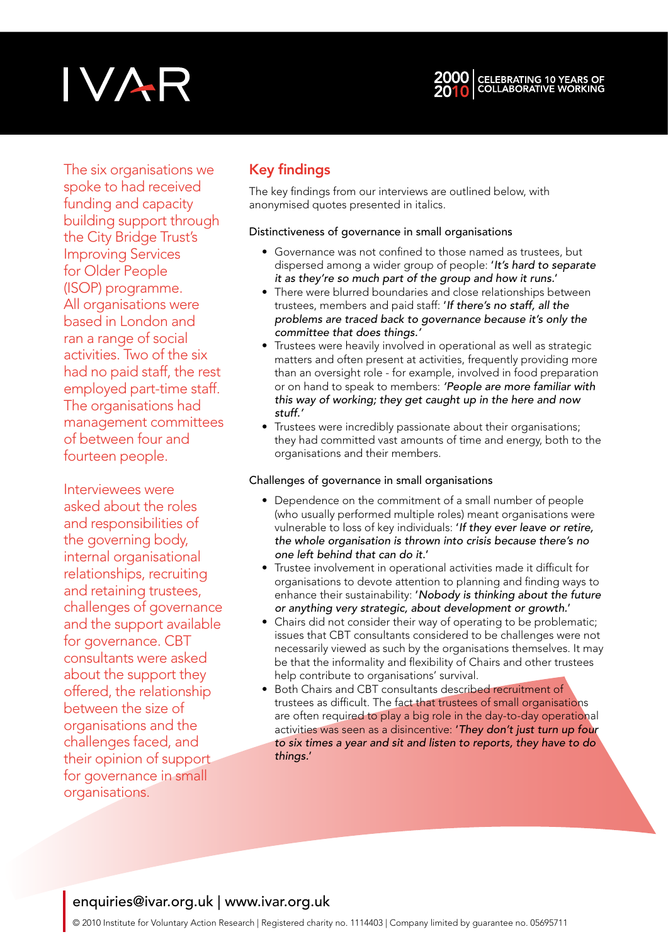# IVAR



The six organisations we spoke to had received funding and capacity building support through the City Bridge Trust's Improving Services for Older People (ISOP) programme. All organisations were based in London and ran a range of social activities. Two of the six had no paid staff, the rest employed part-time staff. The organisations had management committees of between four and fourteen people.

Interviewees were asked about the roles and responsibilities of the governing body, internal organisational relationships, recruiting and retaining trustees, challenges of governance and the support available for governance. CBT consultants were asked about the support they offered, the relationship between the size of organisations and the challenges faced, and their opinion of support for governance in small organisations.

## Key findings

The key findings from our interviews are outlined below, with anonymised quotes presented in italics.

#### Distinctiveness of governance in small organisations

- Governance was not confined to those named as trustees, but dispersed among a wider group of people: '*It's hard to separate it as they're so much part of the group and how it runs.*'
- There were blurred boundaries and close relationships between trustees, members and paid staff: '*If there's no staff, all the problems are traced back to governance because it's only the committee that does things.'*
- Trustees were heavily involved in operational as well as strategic matters and often present at activities, frequently providing more than an oversight role - for example, involved in food preparation or on hand to speak to members: *'People are more familiar with this way of working; they get caught up in the here and now stuff.'*
- Trustees were incredibly passionate about their organisations; they had committed vast amounts of time and energy, both to the organisations and their members.

#### Challenges of governance in small organisations

- Dependence on the commitment of a small number of people (who usually performed multiple roles) meant organisations were vulnerable to loss of key individuals: '*If they ever leave or retire, the whole organisation is thrown into crisis because there's no one left behind that can do it*.'
- Trustee involvement in operational activities made it difficult for organisations to devote attention to planning and finding ways to enhance their sustainability: '*Nobody is thinking about the future or anything very strategic, about development or growth.*'
- Chairs did not consider their way of operating to be problematic; issues that CBT consultants considered to be challenges were not necessarily viewed as such by the organisations themselves. It may be that the informality and flexibility of Chairs and other trustees help contribute to organisations' survival.
- Both Chairs and CBT consultants described recruitment of trustees as difficult. The fact that trustees of small organisations are often required to play a big role in the day-to-day operational activities was seen as a disincentive: '*They don't just turn up four to six times a year and sit and listen to reports, they have to do things.*'

## enquiries@ivar.org.uk | www.ivar.org.uk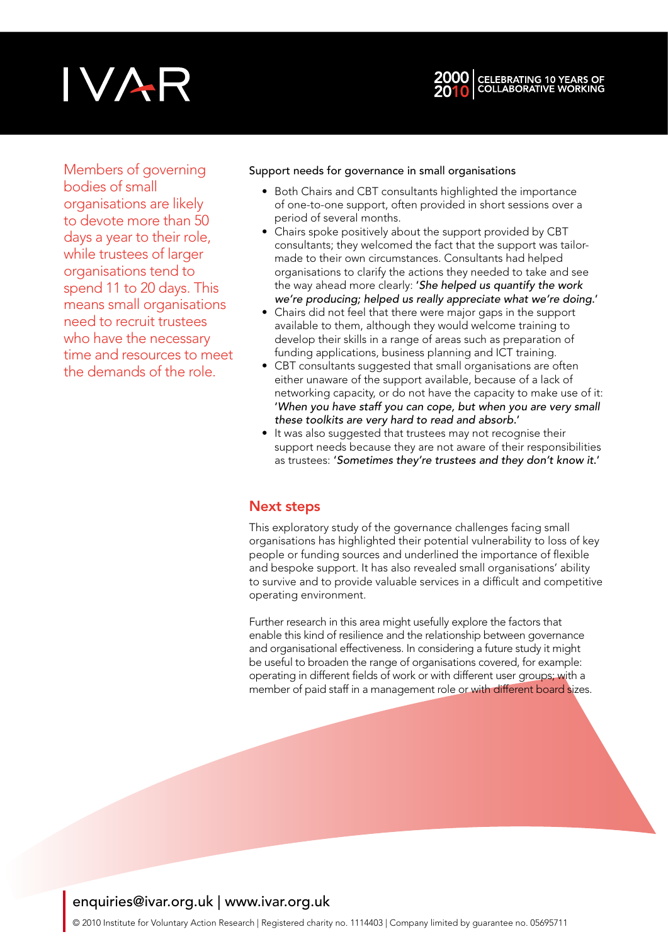## IVAR



Members of governing bodies of small organisations are likely to devote more than 50 days a year to their role, while trustees of larger organisations tend to spend 11 to 20 days. This means small organisations need to recruit trustees who have the necessary time and resources to meet the demands of the role.

#### Support needs for governance in small organisations

- Both Chairs and CBT consultants highlighted the importance of one-to-one support, often provided in short sessions over a period of several months.
- Chairs spoke positively about the support provided by CBT consultants; they welcomed the fact that the support was tailormade to their own circumstances. Consultants had helped organisations to clarify the actions they needed to take and see the way ahead more clearly: '*She helped us quantify the work we're producing; helped us really appreciate what we're doing*.'
- Chairs did not feel that there were major gaps in the support available to them, although they would welcome training to develop their skills in a range of areas such as preparation of funding applications, business planning and ICT training.
- CBT consultants suggested that small organisations are often either unaware of the support available, because of a lack of networking capacity, or do not have the capacity to make use of it: '*When you have staff you can cope, but when you are very small these toolkits are very hard to read and absorb.*'
- It was also suggested that trustees may not recognise their support needs because they are not aware of their responsibilities as trustees: '*Sometimes they're trustees and they don't know it*.'

## Next steps

This exploratory study of the governance challenges facing small organisations has highlighted their potential vulnerability to loss of key people or funding sources and underlined the importance of flexible and bespoke support. It has also revealed small organisations' ability to survive and to provide valuable services in a difficult and competitive operating environment.

Further research in this area might usefully explore the factors that enable this kind of resilience and the relationship between governance and organisational effectiveness. In considering a future study it might be useful to broaden the range of organisations covered, for example: operating in different fields of work or with different user groups; with a member of paid staff in a management role or with different board sizes.

## enquiries@ivar.org.uk | www.ivar.org.uk